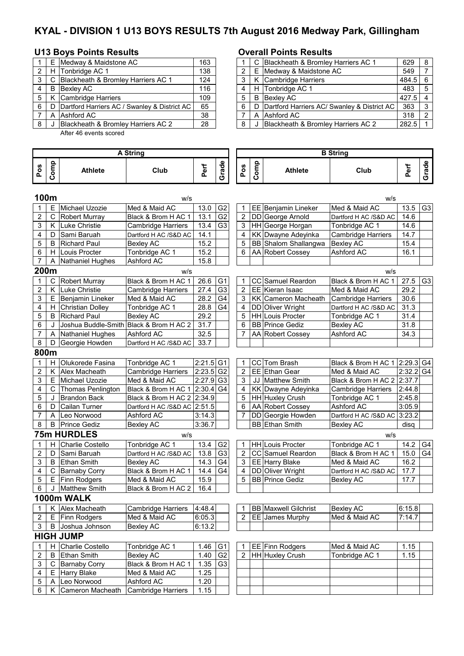# **KYAL - DIVISION 1 U13 BOYS RESULTS 7th August 2016 Medway Park, Gillingham**

## **U13 Boys Points Results Overall Points Results**

|   |   | E Medway & Maidstone AC                      | 163 |
|---|---|----------------------------------------------|-----|
| 2 |   | H Tonbridge AC 1                             | 138 |
| 3 | C | Blackheath & Bromley Harriers AC 1           | 124 |
| 4 | в | <b>Bexley AC</b>                             | 116 |
| 5 |   | K Cambridge Harriers                         | 109 |
| 6 | D | Dartford Harriers AC / Swanley & District AC | 65  |
|   | A | Ashford AC                                   | 38  |
| 8 |   | Blackheath & Bromley Harriers AC 2           | 28  |

After 46 events scored

|     | E | Medway & Maidstone AC                        | 163 |  |   | C Blackheath & Bromley Harriers AC 1            | 629       | - 8           |
|-----|---|----------------------------------------------|-----|--|---|-------------------------------------------------|-----------|---------------|
| 2 I | H | Tonbridge AC 1                               | 138 |  |   | E Medway & Maidstone AC                         | 549       |               |
| 3 I |   | C Blackheath & Bromley Harriers AC 1         | 124 |  |   | K Cambridge Harriers                            | $484.5$ 6 |               |
| 4   | B | Bexley AC                                    | 116 |  |   | H Tonbridge AC 1                                | 483       | - 5           |
| 5 I |   | K Cambridge Harriers                         | 109 |  | B | Bexley AC                                       | $427.5$ 4 |               |
| 6   | D | Dartford Harriers AC / Swanley & District AC | 65  |  |   | D   Dartford Harriers AC/ Swanley & District AC | 363       | 3             |
|     |   | A lAshford AC                                | 38  |  |   | A Ashford AC                                    | 318       | $\mathcal{P}$ |
| 8   |   | Blackheath & Bromley Harriers AC 2           | 28  |  |   | Blackheath & Bromley Harriers AC 2              | 282.5     |               |

|                         |             |                         | <b>A String</b>           |                         |                |                |      |                             | <b>B</b> String               |             |                |
|-------------------------|-------------|-------------------------|---------------------------|-------------------------|----------------|----------------|------|-----------------------------|-------------------------------|-------------|----------------|
| Pos                     | Comp        | Athlete                 | Club                      | Perf                    | Grade          | Pos            | Comp | <b>Athlete</b>              | Club                          | Perf        | Grade          |
| 100m                    |             |                         | w/s                       |                         |                |                |      |                             | w/s                           |             |                |
| 1                       | Е           | Michael Uzozie          | Med & Maid AC             | 13.0                    | G <sub>2</sub> | 1              |      | EE Benjamin Lineker         | Med & Maid AC                 | 13.5        | G <sub>3</sub> |
| $\overline{\mathbf{c}}$ | $\mathsf C$ | <b>Robert Murray</b>    | Black & Brom H AC 1       | 13.1                    | G <sub>2</sub> | 2              |      | DD George Arnold            | Dartford H AC /S&D AC         | 14.6        |                |
| 3                       | Κ           | Luke Christie           | Cambridge Harriers        | 13.4                    | G <sub>3</sub> | 3              |      | HH George Horgan            | Tonbridge AC 1                | 14.6        |                |
| 4                       | D           | Sami Baruah             | Dartford H AC /S&D AC     | 14.1                    |                | 4              |      | KK Dwayne Adeyinka          | Cambridge Harriers            | 14.7        |                |
| 5                       | В           | <b>Richard Paul</b>     | Bexley AC                 | 15.2                    |                | 5              |      | BB Shalom Shallangwa        | <b>Bexley AC</b>              | 15.4        |                |
| 6                       | H.          | Louis Procter           | Tonbridge AC 1            | 15.2                    |                | 6              |      | AA Robert Cossey            | Ashford AC                    | 16.1        |                |
| $\overline{7}$          | Α           | Nathaniel Hughes        | Ashford AC                | 15.8                    |                |                |      |                             |                               |             |                |
| 200m                    |             |                         | W/S                       |                         |                |                |      |                             | w/s                           |             |                |
| 1                       | C           | <b>Robert Murray</b>    | Black & Brom H AC 1       | 26.6                    | G <sub>1</sub> | 1              |      | CC Samuel Reardon           | Black & Brom H AC 1           | 27.5        | G <sub>3</sub> |
| $\overline{c}$          |             | K Luke Christie         | <b>Cambridge Harriers</b> | 27.4                    | G <sub>3</sub> | $\overline{c}$ |      | EE Kieran Isaac             | Med & Maid AC                 | 29.2        |                |
| 3                       | E           | Benjamin Lineker        | Med & Maid AC             | 28.2                    | G <sub>4</sub> | 3              |      | KK Cameron Macheath         | <b>Cambridge Harriers</b>     | 30.6        |                |
| 4                       | H.          | <b>Christian Dolley</b> | Tonbridge AC 1            | 28.8                    | G <sub>4</sub> | $\overline{4}$ |      | DD Oliver Wright            | Dartford H AC /S&D AC         | 31.3        |                |
| 5                       | B           | <b>Richard Paul</b>     | <b>Bexley AC</b>          | 29.2                    |                | 5              |      | <b>HH Louis Procter</b>     | Tonbridge AC 1                | 31.4        |                |
| 6                       | J           | Joshua Buddle-Smith     | Black & Brom H AC 2       | 31.7                    |                | 6              |      | <b>BB</b> Prince Gediz      | Bexley AC                     | 31.8        |                |
| $\overline{7}$          | A           | <b>Nathaniel Hughes</b> | Ashford AC                | 32.5                    |                | 7              |      | AA Robert Cossey            | Ashford AC                    | 34.3        |                |
| 8                       | D           | Georgie Howden          | Dartford H AC /S&D AC     | 33.7                    |                |                |      |                             |                               |             |                |
| 800m                    |             |                         |                           |                         |                |                |      |                             |                               |             |                |
| 1                       | H           | Olukorede Fasina        | Tonbridge AC 1            | $2:21.5$ G1             |                | 1              |      | CC Tom Brash                | Black & Brom H AC 1 2:29.3 G4 |             |                |
| $\overline{\mathbf{c}}$ | Κ           | Alex Macheath           | <b>Cambridge Harriers</b> | $2:23.5$ G <sub>2</sub> |                | 2              |      | EE Ethan Gear               | Med & Maid AC                 | $2:32.2$ G4 |                |
| 3                       | Е           | Michael Uzozie          | Med & Maid AC             | $2:27.9$ G <sub>3</sub> |                | 3              |      | JJ Matthew Smith            | Black & Brom H AC 2 2:37.7    |             |                |
| 4                       | $\mathsf C$ | Thomas Penlington       | Black & Brom H AC 1       | 2:30.4                  | G <sub>4</sub> | 4              |      | KK Dwayne Adeyinka          | Cambridge Harriers            | 2:44.8      |                |
| 5                       | J           | <b>Brandon Back</b>     | Black & Brom H AC 2       | 2:34.9                  |                | 5              |      | HH Huxley Crush             | Tonbridge AC 1                | 2:45.8      |                |
| 6                       | D           | Cailan Turner           | Dartford H AC /S&D AC     | 2:51.5                  |                | 6              |      | AA Robert Cossey            | Ashford AC                    | 3:05.9      |                |
| $\overline{7}$          | A           | Leo Norwood             | Ashford AC                | 3:14.3                  |                | $\overline{7}$ |      | DD Georgie Howden           | Dartford H AC /S&D AC 3:23.2  |             |                |
| 8                       | B           | <b>Prince Gediz</b>     | <b>Bexley AC</b>          | 3:36.7                  |                |                |      | <b>BB</b> Ethan Smith       | <b>Bexley AC</b>              | disa        |                |
|                         |             | <b>75m HURDLES</b>      | w/s                       |                         |                |                |      |                             | w/s                           |             |                |
| 1                       | H           | <b>Charlie Costello</b> | Tonbridge AC 1            | 13.4                    | G <sub>2</sub> | 1              |      | HH Louis Procter            | Tonbridge AC 1                | 14.2        | G4             |
| $\overline{c}$          | D           | Sami Baruah             | Dartford H AC /S&D AC     | 13.8                    | G <sub>3</sub> | $\overline{2}$ |      | CC Samuel Reardon           | Black & Brom H AC 1           | 15.0        | G4             |
| 3                       | B           | Ethan Smith             | <b>Bexley AC</b>          | 14.3                    | G <sub>4</sub> | 3              |      | EE Harry Blake              | Med & Maid AC                 | 16.2        |                |
| 4                       | C           | <b>Barnaby Corry</b>    | Black & Brom H AC 1       | 14.4                    | G <sub>4</sub> | 4              |      | DD Oliver Wright            | Dartford H AC /S&D AC         | 17.7        |                |
| 5                       | E           | Finn Rodgers            | Med & Maid AC             | 15.9                    |                | 5              |      | <b>BB</b> Prince Gediz      | Bexley AC                     | 17.7        |                |
| 6                       | J           | <b>Matthew Smith</b>    | Black & Brom H AC 2       | 16.4                    |                |                |      |                             |                               |             |                |
|                         |             | 1000m WALK              |                           |                         |                |                |      |                             |                               |             |                |
| 1                       |             | K Alex Macheath         | <b>Cambridge Harriers</b> | 4:48.4                  |                | 1              |      | <b>BB</b> Maxwell Gilchrist | <b>Bexley AC</b>              | 6:15.8      |                |
| 2                       | E.          | Finn Rodgers            | Med & Maid AC             | 6:05.3                  |                | 2              |      | EE James Murphy             | Med & Maid AC                 | 7:14.7      |                |
| 3                       | B           | Joshua Johnson          | <b>Bexley AC</b>          | 6:13.2                  |                |                |      |                             |                               |             |                |
|                         |             | <b>HIGH JUMP</b>        |                           |                         |                |                |      |                             |                               |             |                |
| 1                       | H.          | Charlie Costello        | Tonbridge AC 1            | 1.46                    | G <sub>1</sub> |                |      | EE Finn Rodgers             | Med & Maid AC                 | 1.15        |                |
| 2                       | B           | <b>Ethan Smith</b>      | <b>Bexley AC</b>          | 1.40                    | G <sub>2</sub> | 2              |      | HH Huxley Crush             | Tonbridge AC 1                | 1.15        |                |
| 3                       | C           | <b>Barnaby Corry</b>    | Black & Brom H AC 1       | 1.35                    | G <sub>3</sub> |                |      |                             |                               |             |                |
| 4                       | Е.          | Harry Blake             | Med & Maid AC             | 1.25                    |                |                |      |                             |                               |             |                |
| 5                       | A           | Leo Norwood             | Ashford AC                | 1.20                    |                |                |      |                             |                               |             |                |
| 6                       | K.          | Cameron Macheath        | <b>Cambridge Harriers</b> | 1.15                    |                |                |      |                             |                               |             |                |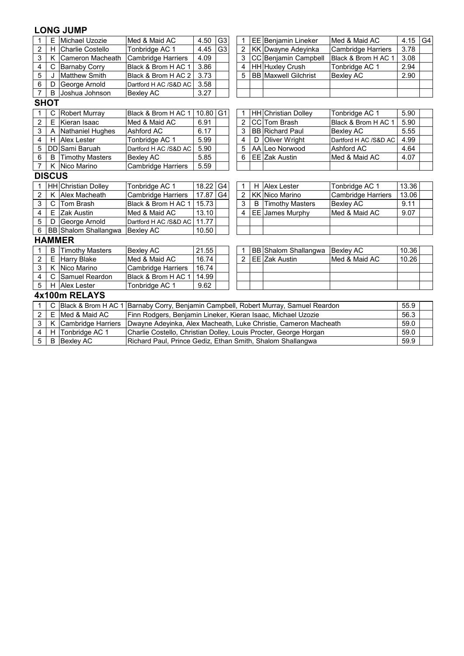### **LONG JUMP**

| 1              | E             | Michael Uzozie            | Med & Maid AC                                                    | 4.50                                                                               | G <sub>3</sub> | $\mathbf 1$    |   | EE Benjamin Lineker         | Med & Maid AC             | 4.15  | G4 |  |  |  |
|----------------|---------------|---------------------------|------------------------------------------------------------------|------------------------------------------------------------------------------------|----------------|----------------|---|-----------------------------|---------------------------|-------|----|--|--|--|
| 2              | H.            | <b>Charlie Costello</b>   | Tonbridge AC 1                                                   | 4.45                                                                               | G <sub>3</sub> | $\overline{2}$ |   | KK Dwayne Adeyinka          | <b>Cambridge Harriers</b> | 3.78  |    |  |  |  |
| 3              | K             | Cameron Macheath          | <b>Cambridge Harriers</b>                                        | 4.09                                                                               |                | 3              |   | CC Benjamin Campbell        | Black & Brom H AC 1       | 3.08  |    |  |  |  |
| 4              | C             | <b>Barnaby Corry</b>      | Black & Brom H AC 1                                              | 3.86                                                                               |                | 4              |   | HH Huxley Crush             | Tonbridge AC 1            | 2.94  |    |  |  |  |
| 5              | J             | <b>Matthew Smith</b>      | Black & Brom H AC 2                                              | 3.73                                                                               |                | 5              |   | <b>BB</b> Maxwell Gilchrist | Bexley AC                 | 2.90  |    |  |  |  |
| 6              | D             | George Arnold             | Dartford H AC /S&D AC                                            | 3.58                                                                               |                |                |   |                             |                           |       |    |  |  |  |
| $\overline{7}$ | B             | Joshua Johnson            | <b>Bexley AC</b>                                                 | 3.27                                                                               |                |                |   |                             |                           |       |    |  |  |  |
|                | <b>SHOT</b>   |                           |                                                                  |                                                                                    |                |                |   |                             |                           |       |    |  |  |  |
|                | С             | <b>Robert Murray</b>      | Black & Brom H AC 1                                              | 10.80                                                                              | G <sub>1</sub> |                |   | <b>HH</b> Christian Dolley  | Tonbridge AC 1            | 5.90  |    |  |  |  |
| $\overline{2}$ | E             | Kieran Isaac              | Med & Maid AC                                                    | 6.91                                                                               |                | 2              |   | CC Tom Brash                | Black & Brom H AC 1       | 5.90  |    |  |  |  |
| 3              | Α             | Nathaniel Hughes          | Ashford AC                                                       | 3<br>6.17<br><b>BB</b> Richard Paul<br>5.55<br>Bexley AC                           |                |                |   |                             |                           |       |    |  |  |  |
| 4              | H             | <b>Alex Lester</b>        | Tonbridge AC 1                                                   | 5.99<br>4<br>Oliver Wright<br>4.99<br>D<br>Dartford H AC /S&D AC                   |                |                |   |                             |                           |       |    |  |  |  |
| 5              |               | DD Sami Baruah            | Dartford H AC /S&D AC                                            | 5.90                                                                               |                | 5              |   | AA Leo Norwood              | Ashford AC                | 4.64  |    |  |  |  |
| 6              | B             | <b>Timothy Masters</b>    | Bexley AC                                                        | 5.85                                                                               |                | 6              |   | EE Zak Austin               | Med & Maid AC             | 4.07  |    |  |  |  |
| 7              |               | K Nico Marino             | Cambridge Harriers                                               | 5.59                                                                               |                |                |   |                             |                           |       |    |  |  |  |
|                | <b>DISCUS</b> |                           |                                                                  |                                                                                    |                |                |   |                             |                           |       |    |  |  |  |
|                |               | HH Christian Dolley       | Tonbridge AC 1                                                   | 18.22<br>G <sub>4</sub><br>13.36<br><b>Alex Lester</b><br>Tonbridge AC 1<br>1<br>н |                |                |   |                             |                           |       |    |  |  |  |
| 2              | K             | Alex Macheath             | Cambridge Harriers                                               | 17.87                                                                              | G <sub>4</sub> | $\overline{2}$ |   | <b>KK Nico Marino</b>       | <b>Cambridge Harriers</b> | 13.06 |    |  |  |  |
| 3              |               | C Tom Brash               | Black & Brom H AC 1                                              | 15.73                                                                              |                | 3              | B | <b>Timothy Masters</b>      | <b>Bexley AC</b>          | 9.11  |    |  |  |  |
| 4              |               | E Zak Austin              | Med & Maid AC                                                    | 13.10                                                                              |                | 4              |   | EE James Murphy             | Med & Maid AC             | 9.07  |    |  |  |  |
| 5              | D             | George Arnold             | Dartford H AC /S&D AC                                            | 11.77                                                                              |                |                |   |                             |                           |       |    |  |  |  |
| 6              |               | BB Shalom Shallangwa      | <b>Bexley AC</b>                                                 | 10.50                                                                              |                |                |   |                             |                           |       |    |  |  |  |
|                |               | <b>HAMMER</b>             |                                                                  |                                                                                    |                |                |   |                             |                           |       |    |  |  |  |
|                | B             | <b>Timothy Masters</b>    | <b>Bexley AC</b>                                                 | 21.55                                                                              |                |                |   | BB Shalom Shallangwa        | Bexley AC                 | 10.36 |    |  |  |  |
| $\overline{2}$ |               | E Harry Blake             | Med & Maid AC                                                    | 16.74                                                                              |                | $\overline{2}$ |   | EE Zak Austin               | Med & Maid AC             | 10.26 |    |  |  |  |
| 3              | K             | Nico Marino               | Cambridge Harriers                                               | 16.74                                                                              |                |                |   |                             |                           |       |    |  |  |  |
| 4              | C             | Samuel Reardon            | Black & Brom H AC 1                                              | 14.99                                                                              |                |                |   |                             |                           |       |    |  |  |  |
| 5              |               | H Alex Lester             | 9.62<br>Tonbridge AC 1                                           |                                                                                    |                |                |   |                             |                           |       |    |  |  |  |
|                |               | 4x100m RELAYS             |                                                                  |                                                                                    |                |                |   |                             |                           |       |    |  |  |  |
| 1              | C             | Black & Brom H AC 1       | Barnaby Corry, Benjamin Campbell, Robert Murray, Samuel Reardon  |                                                                                    |                |                |   |                             |                           | 55.9  |    |  |  |  |
| $\overline{2}$ | E.            | Med & Maid AC             | Finn Rodgers, Benjamin Lineker, Kieran Isaac, Michael Uzozie     |                                                                                    |                |                |   |                             |                           | 56.3  |    |  |  |  |
| 3              | K             | <b>Cambridge Harriers</b> | Dwayne Adeyinka, Alex Macheath, Luke Christie, Cameron Macheath  |                                                                                    |                |                |   |                             |                           | 59.0  |    |  |  |  |
| 4              | H.            | Tonbridge AC 1            | Charlie Costello, Christian Dolley, Louis Procter, George Horgan |                                                                                    |                |                |   |                             |                           | 59.0  |    |  |  |  |
| 5              |               | <b>B</b> Bexley AC        |                                                                  | Richard Paul, Prince Gediz, Ethan Smith, Shalom Shallangwa<br>59.9                 |                |                |   |                             |                           |       |    |  |  |  |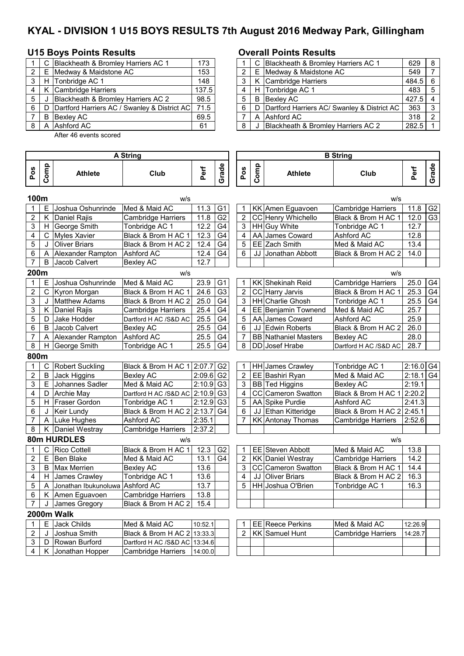# **KYAL - DIVISION 1 U15 BOYS RESULTS 7th August 2016 Medway Park, Gillingham**

## **U15 Boys Points Results Overall Points Results**

|   | C Blackheath & Bromley Harriers AC 1                | 173   |              | C Blackheath & Bromley Harriers AC 1          | $629$ 8      |                |
|---|-----------------------------------------------------|-------|--------------|-----------------------------------------------|--------------|----------------|
|   | E Medway & Maidstone AC                             | 153   |              | E Medway & Maidstone AC                       | 549          | $\overline{7}$ |
|   | H Tonbridge AC 1                                    | 148   |              | K Cambridge Harriers                          | $484.5$ 6    |                |
|   | K Cambridge Harriers                                | 137.5 | $4^{\prime}$ | H Tonbridge AC 1                              | $483 \mid 5$ |                |
| 5 | Blackheath & Bromley Harriers AC 2                  | 98.5  | $5^{\circ}$  | <b>B</b> Bexlev AC                            | $427.5$ 4    |                |
| 6 | D Dartford Harriers AC / Swanley & District AC 71.5 |       | 6            | D Dartford Harriers AC/ Swanley & District AC | 363          | $\vert$ 3      |
|   | B Bexley AC                                         | 69.5  |              | A Ashford AC                                  | $318$   2    |                |
|   | A Ashford AC                                        | 61    |              | Blackheath & Bromley Harriers AC 2            | 282.5        |                |
|   |                                                     |       |              |                                               |              |                |

After 46 events scored

|       |            | C Blackheath & Bromley Harriers AC 1              | 173   |  |    | C Blackheath & Bromley Harriers AC 1            | 629       | -8            |
|-------|------------|---------------------------------------------------|-------|--|----|-------------------------------------------------|-----------|---------------|
|       | $2 \mid E$ | Medway & Maidstone AC                             | 153   |  | E. | Medway & Maidstone AC                           | 549       |               |
| 3 I   | H          | Tonbridge AC 1                                    | 148   |  |    | K Cambridge Harriers                            | $484.5$ 6 |               |
| 4     | K          | Cambridge Harriers                                | 137.5 |  |    | H Tonbridge AC 1                                | 483       | -5            |
| 5     |            | Blackheath & Bromley Harriers AC 2                | 98.5  |  |    | <b>B</b> Bexley AC                              | 427.5     |               |
| 6   D |            | Dartford Harriers AC / Swanley & District AC 71.5 |       |  |    | D   Dartford Harriers AC/ Swanley & District AC | 363       | ູ             |
|       | B          | <b>Bexley AC</b>                                  | 69.5  |  |    | A Ashford AC                                    | 318       | $\mathcal{P}$ |
|       |            | 8 A LAshford AC                                   | 61    |  |    | J Blackheath & Bromley Harriers AC 2            | 282.5     |               |

|                |      |                        | A String                      |                         |                |                |      |                             | <b>B</b> String            |         |                |
|----------------|------|------------------------|-------------------------------|-------------------------|----------------|----------------|------|-----------------------------|----------------------------|---------|----------------|
| Pos            | Comp | <b>Athlete</b>         | Club                          | Perf                    | Grade          | Pos            | Comp | <b>Athlete</b>              | Club                       | Perf    | Grade          |
| 100m           |      |                        | W/S                           |                         |                |                |      |                             | W/S                        |         |                |
| 1              | E.   | Joshua Oshunrinde      | Med & Maid AC                 | 11.3                    | G <sub>1</sub> | 1              |      | KK Amen Eguavoen            | <b>Cambridge Harriers</b>  | 11.8    | G <sub>2</sub> |
| 2              | K.   | Daniel Rajis           | <b>Cambridge Harriers</b>     | 11.8                    | G <sub>2</sub> | $\overline{2}$ |      | CC Henry Whichello          | Black & Brom H AC 1        | 12.0    | G <sub>3</sub> |
| 3              |      | H George Smith         | Tonbridge AC 1                | 12.2                    | G <sub>4</sub> | 3              |      | HH Guy White                | Tonbridge AC 1             | 12.7    |                |
| 4              | C    | <b>Myles Xavier</b>    | Black & Brom H AC 1           | 12.3                    | G <sub>4</sub> | 4              |      | AA James Coward             | Ashford AC                 | 12.8    |                |
| 5              | J    | <b>Oliver Briars</b>   | Black & Brom H AC 2           | 12.4                    | G <sub>4</sub> | 5              |      | EE Zach Smith               | Med & Maid AC              | 13.4    |                |
| 6              | A    | Alexander Rampton      | Ashford AC                    | 12.4                    | G <sub>4</sub> | 6              |      | JJ Jonathan Abbott          | Black & Brom H AC 2        | 14.0    |                |
| 7              | B    | Jacob Calvert          | <b>Bexley AC</b>              | 12.7                    |                |                |      |                             |                            |         |                |
| 200m           |      |                        | W/S                           |                         |                |                |      |                             | w/s                        |         |                |
| $\mathbf{1}$   | E.   | Joshua Oshunrinde      | Med & Maid AC                 | 23.9                    | G <sub>1</sub> | $\mathbf{1}$   |      | KK Shekinah Reid            | Cambridge Harriers         | 25.0    | G4             |
| 2              |      | C Kyron Morgan         | Black & Brom H AC 1           | 24.6                    | G3             | 2              |      | CC Harry Jarvis             | Black & Brom H AC 1        | 25.3    | G <sub>4</sub> |
| 3              |      | J   Matthew Adams      | Black & Brom H AC 2           | 25.0                    | G <sub>4</sub> | 3              |      | HH Charlie Ghosh            | Tonbridge AC 1             | 25.5    | G <sub>4</sub> |
| 3              | K.   | Daniel Rajis           | <b>Cambridge Harriers</b>     | 25.4                    | G4             | 4              |      | EE Benjamin Townend         | Med & Maid AC              | 25.7    |                |
| 5              | D    | Jake Hodder            | Dartford H AC /S&D AC         | 25.5                    | G <sub>4</sub> | 5              |      | AA James Coward             | Ashford AC                 | 25.9    |                |
| 6              | B    | Jacob Calvert          | <b>Bexley AC</b>              | 25.5                    | G4             | 6              |      | <b>JJ Edwin Roberts</b>     | Black & Brom H AC 2        | 26.0    |                |
| 7              | Α    | Alexander Rampton      | Ashford AC                    | 25.5                    | G4             | 7              |      | <b>BB</b> Nathaniel Masters | <b>Bexley AC</b>           | 28.0    |                |
| 8              | H.   | George Smith           | Tonbridge AC 1                | 25.5                    | G4             | 8              |      | DD Josef Hrabe              | Dartford H AC /S&D AC      | 28.7    |                |
| 800m           |      |                        |                               |                         |                |                |      |                             |                            |         |                |
| 1              | С    | <b>Robert Suckling</b> | Black & Brom H AC 1           | 2:07.7                  | G2             | 1              |      | HH James Crawley            | Tonbridge AC 1             | 2:16.0  | G4             |
| $\overline{2}$ | В    | Jack Higgins           | <b>Bexley AC</b>              | $2:09.6$ G <sub>2</sub> |                | $\overline{2}$ |      | EE Bashiri Ryan             | Med & Maid AC              | 2:18.1  | G <sub>4</sub> |
| 3              | E.   | Johannes Sadler        | Med & Maid AC                 | $2:10.9$ G <sub>3</sub> |                | 3              |      | BB Ted Higgins              | <b>Bexley AC</b>           | 2:19.1  |                |
| 4              | D    | <b>Archie May</b>      | Dartford H AC /S&D AC         | $2:10.9$ G <sub>3</sub> |                | 4              |      | CC Cameron Swatton          | Black & Brom H AC 1        | 2:20.2  |                |
| 5              |      | H Fraser Gordon        | Tonbridge AC 1                | 2:12.9                  | G <sub>3</sub> | 5              |      | AA Spike Purdie             | Ashford AC                 | 2:41.3  |                |
| 6              | J    | <b>Keir Lundy</b>      | Black & Brom H AC 2           | 2:13.7                  | G <sub>4</sub> | 6              |      | JJ Ethan Kitteridge         | Black & Brom H AC 2 2:45.1 |         |                |
| 7              |      | A Luke Hughes          | Ashford AC                    | 2:35.1                  |                | 7              |      | KK Antonay Thomas           | Cambridge Harriers         | 2:52.6  |                |
| 8              |      | K Daniel Westray       | Cambridge Harriers            | 2:37.2                  |                |                |      |                             |                            |         |                |
|                |      | 80m HURDLES            | w/s                           |                         |                |                |      |                             | W/S                        |         |                |
|                | С    | <b>Rico Cottell</b>    | Black & Brom H AC 1           | 12.3                    | G <sub>2</sub> | 1              |      | EE Steven Abbott            | Med & Maid AC              | 13.8    |                |
| $\overline{2}$ | E.   | Ben Blake              | Med & Maid AC                 | 13.1                    | G <sub>4</sub> | $\overline{2}$ |      | <b>KK Daniel Westray</b>    | Cambridge Harriers         | 14.2    |                |
| 3              |      | <b>B</b> Max Merrien   | <b>Bexley AC</b>              | 13.6                    |                | 3              |      | <b>CC</b> Cameron Swatton   | Black & Brom H AC 1        | 14.4    |                |
| 4              | H I  | James Crawley          | Tonbridge AC 1                | 13.6                    |                | 4              |      | JJ Oliver Briars            | Black & Brom H AC 2        | 16.3    |                |
| 5              | A    | Jonathan Ibukunoluwa   | <b>Ashford AC</b>             | 13.7                    |                | 5              |      | HH Joshua O'Brien           | Tonbridge AC 1             | 16.3    |                |
| 6              |      | K   Amen Eguavoen      | <b>Cambridge Harriers</b>     | 13.8                    |                |                |      |                             |                            |         |                |
| 7              | J    | James Gregory          | Black & Brom H AC 2           | 15.4                    |                |                |      |                             |                            |         |                |
|                |      | 2000m Walk             |                               |                         |                |                |      |                             |                            |         |                |
| 1              | E.   | <b>Jack Childs</b>     | Med & Maid AC                 | 10:52.1                 |                | 1              |      | EE Reece Perkins            | Med & Maid AC              | 12:26.9 |                |
| 2              | J    | Joshua Smith           | Black & Brom H AC 2           | 13:33.3                 |                | 2              |      | <b>KK</b> Samuel Hunt       | <b>Cambridge Harriers</b>  | 14:28.7 |                |
| 3              | D    | Rowan Burford          | Dartford H AC /S&D AC 13:34.6 |                         |                |                |      |                             |                            |         |                |
| 4              | K.   | Jonathan Hopper        | Cambridge Harriers            | 14:00.0                 |                |                |      |                             |                            |         |                |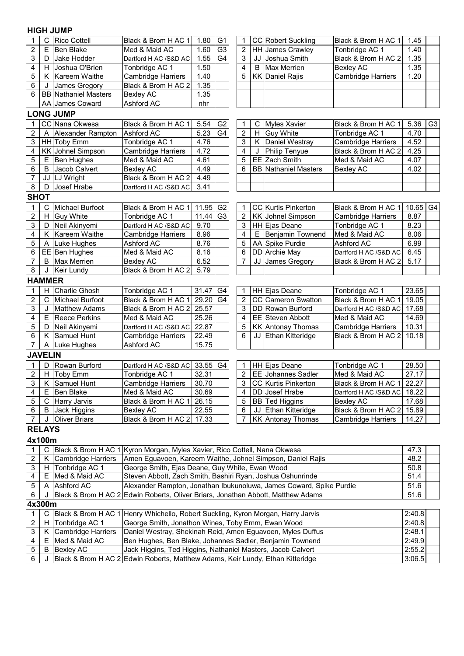### **HIGH JUMP**

| 1              | С              | <b>Rico Cottell</b>            | G <sub>1</sub><br><b>CC Robert Suckling</b><br>Black & Brom H AC 1<br>1.45<br>Black & Brom H AC 1<br>1.80<br>1 |                                                                                                                        |                |                |    |                             |                           |                    |                |  |  |
|----------------|----------------|--------------------------------|----------------------------------------------------------------------------------------------------------------|------------------------------------------------------------------------------------------------------------------------|----------------|----------------|----|-----------------------------|---------------------------|--------------------|----------------|--|--|
| $\overline{2}$ | E              | <b>Ben Blake</b>               | Med & Maid AC                                                                                                  | 1.60                                                                                                                   | G <sub>3</sub> | $\overline{2}$ |    | HH James Crawley            | Tonbridge AC 1            | 1.40               |                |  |  |
| 3              | D              | Jake Hodder                    | Dartford H AC /S&D AC                                                                                          | 1.55                                                                                                                   | G <sub>4</sub> | 3              |    | JJ Joshua Smith             | Black & Brom H AC 2       | 1.35               |                |  |  |
| 4              | H              | Joshua O'Brien                 | Tonbridge AC 1                                                                                                 | 1.50                                                                                                                   |                | 4              | B  | <b>Max Merrien</b>          | Bexley AC                 | 1.35               |                |  |  |
| 5              |                | K   Kareem Waithe              | <b>Cambridge Harriers</b>                                                                                      | 1.40                                                                                                                   |                | 5              |    | <b>KK Daniel Rajis</b>      | Cambridge Harriers        | 1.20               |                |  |  |
| 6              |                | James Gregory                  | Black & Brom H AC 2                                                                                            | 1.35                                                                                                                   |                |                |    |                             |                           |                    |                |  |  |
| 6              |                | <b>BB</b> Nathaniel Masters    | <b>Bexley AC</b>                                                                                               | 1.35                                                                                                                   |                |                |    |                             |                           |                    |                |  |  |
|                |                | AA James Coward                | Ashford AC                                                                                                     | nhr                                                                                                                    |                |                |    |                             |                           |                    |                |  |  |
|                |                | <b>LONG JUMP</b>               |                                                                                                                |                                                                                                                        |                |                |    |                             |                           |                    |                |  |  |
| 1              |                | CC Nana Okwesa                 | Black & Brom H AC 1                                                                                            | 5.54                                                                                                                   | G <sub>2</sub> | 1              | C  | <b>Myles Xavier</b>         | Black & Brom H AC 1       | 5.36               | G <sub>3</sub> |  |  |
| 2              | A              | Alexander Rampton              | <b>Ashford AC</b>                                                                                              | $\overline{5.23}$                                                                                                      | G <sub>4</sub> | $\overline{2}$ | H  | Guy White                   | Tonbridge AC 1            | 4.70               |                |  |  |
| 3              |                | HH Toby Emm                    | Tonbridge AC 1                                                                                                 | 4.76                                                                                                                   |                | 3              | K  | Daniel Westray              | Cambridge Harriers        | 4.52               |                |  |  |
| 4              |                | KK Johnel Simpson              | <b>Cambridge Harriers</b>                                                                                      | 4.72                                                                                                                   |                | 4              |    | Philip Tenyue               | Black & Brom H AC 2       | 4.25               |                |  |  |
| 5              | Е              | <b>Ben Hughes</b>              | Med & Maid AC                                                                                                  | 4.61                                                                                                                   |                | 5              | EE | Zach Smith                  | Med & Maid AC             | 4.07               |                |  |  |
| 6              | B              | Jacob Calvert                  | <b>Bexley AC</b>                                                                                               | 4.49                                                                                                                   |                | 6              |    | <b>BB</b> Nathaniel Masters | <b>Bexley AC</b>          | 4.02               |                |  |  |
| 7              |                | JJ LJ Wright                   |                                                                                                                | Black & Brom H AC 2<br>4.49                                                                                            |                |                |    |                             |                           |                    |                |  |  |
| 8              | D              | Josef Hrabe                    |                                                                                                                | 3.41<br>Dartford H AC /S&D AC                                                                                          |                |                |    |                             |                           |                    |                |  |  |
| <b>SHOT</b>    |                |                                |                                                                                                                |                                                                                                                        |                |                |    |                             |                           |                    |                |  |  |
|                |                |                                |                                                                                                                |                                                                                                                        |                |                |    |                             |                           |                    |                |  |  |
| 1              | С              | Michael Burfoot                | Black & Brom H AC 1                                                                                            | 11.95                                                                                                                  | G <sub>2</sub> |                |    | CC Kurtis Pinkerton         | Black & Brom H AC 1       | $10.65$ G4         |                |  |  |
| 2              | H.             | <b>Guy White</b>               | Tonbridge AC 1                                                                                                 | 11.44                                                                                                                  | G <sub>3</sub> | $\overline{2}$ |    | KK Johnel Simpson           | Cambridge Harriers        | 8.87<br>8.23       |                |  |  |
| 3              | D              | Neil Akinyemi<br>Kareem Waithe |                                                                                                                | 9.70<br>3<br><b>HH</b> Ejas Deane<br>Tonbridge AC 1<br>Dartford H AC /S&D AC                                           |                |                |    |                             |                           |                    |                |  |  |
| 4              | K              |                                | <b>Cambridge Harriers</b>                                                                                      | 8.96                                                                                                                   |                | 4              | Е  | Benjamin Townend            | Med & Maid AC             | 8.06               |                |  |  |
| 5              | Α              | Luke Hughes                    | Ashford AC                                                                                                     | 8.76                                                                                                                   |                | 5              |    | AA Spike Purdie             | Ashford AC                | 6.99               |                |  |  |
| 6              |                | EE Ben Hughes                  | Med & Maid AC                                                                                                  | 8.16                                                                                                                   |                | 6              |    | DD Archie May               | Dartford H AC /S&D AC     | 6.45<br>5.17       |                |  |  |
| 7              | B              | <b>Max Merrien</b>             | <b>Bexley AC</b>                                                                                               | 6.52<br>7<br>JJ James Gregory<br>Black & Brom H AC 2                                                                   |                |                |    |                             |                           |                    |                |  |  |
| 8              | J              | <b>Keir Lundy</b>              |                                                                                                                | Black & Brom H AC 2<br>5.79                                                                                            |                |                |    |                             |                           |                    |                |  |  |
|                | <b>HAMMER</b>  |                                |                                                                                                                |                                                                                                                        |                |                |    |                             |                           |                    |                |  |  |
| 1              |                | <b>Charlie Ghosh</b>           | Tonbridge AC 1                                                                                                 | 31.47                                                                                                                  | G <sub>4</sub> | 1              |    | HH Ejas Deane               | Tonbridge AC 1            | 23.65              |                |  |  |
| 2              | $\mathsf{C}$   | Michael Burfoot                | Black & Brom H AC 1                                                                                            | 29.20                                                                                                                  | G <sub>4</sub> | 2              |    | <b>CC</b> Cameron Swatton   | Black & Brom H AC 1       | 19.05              |                |  |  |
| 3              | J              | <b>Matthew Adams</b>           | Black & Brom H AC 2                                                                                            | 25.57                                                                                                                  |                | 3              |    | DD Rowan Burford            | Dartford H AC /S&D AC     | 17.68              |                |  |  |
| 4              | Е              | <b>Reece Perkins</b>           | Med & Maid AC                                                                                                  | 25.26                                                                                                                  |                | 4              |    | EE Steven Abbott            | Med & Maid AC             | 14.69              |                |  |  |
| 5              | D              | Neil Akinyemi                  | Dartford H AC /S&D AC                                                                                          | 22.87                                                                                                                  |                | 5              |    | KK Antonay Thomas           | <b>Cambridge Harriers</b> | 10.31              |                |  |  |
| 6              | K              | Samuel Hunt                    | <b>Cambridge Harriers</b>                                                                                      | 22.49                                                                                                                  |                | 6              |    | JJ Ethan Kitteridge         | Black & Brom H AC 2       | 10.18              |                |  |  |
| 7              | A              | Luke Hughes                    | Ashford AC                                                                                                     | 15.75                                                                                                                  |                |                |    |                             |                           |                    |                |  |  |
|                | <b>JAVELIN</b> |                                |                                                                                                                |                                                                                                                        |                |                |    |                             |                           |                    |                |  |  |
| 1              | D              | Rowan Burford                  | Dartford H AC /S&D AC                                                                                          | 33.55                                                                                                                  | G4             | 1              |    | HH Ejas Deane               | Tonbridge AC 1            | 28.50              |                |  |  |
| 2              |                | H   Toby Emm                   | Tonbridge AC 1                                                                                                 | 32.31                                                                                                                  |                | $\overline{2}$ |    | <b>EE</b> Johannes Sadler   | Med & Maid AC             | $\overline{27.17}$ |                |  |  |
| 3              | K              | Samuel Hunt                    | Cambridge Harriers                                                                                             | 30.70                                                                                                                  |                | 3              |    | <b>CC Kurtis Pinkerton</b>  | Black & Brom H AC 1       | 22.27              |                |  |  |
| 4              | Е              | Ben Blake                      | Med & Maid AC                                                                                                  | 30.69                                                                                                                  |                | 4              |    | DD Josef Hrabe              | Dartford H AC /S&D AC     | 18.22              |                |  |  |
| 5              |                | C Harry Jarvis                 | Black & Brom H AC 1                                                                                            | 26.15                                                                                                                  |                | 5              |    | BB Ted Higgins              | <b>Bexley AC</b>          | 17.68              |                |  |  |
| 6              |                | <b>B</b> Jack Higgins          | <b>Bexley AC</b>                                                                                               | 22.55                                                                                                                  |                | 6              | JJ | Ethan Kitteridge            | Black & Brom H AC 2       | 15.89              |                |  |  |
| 7              | J              | <b>Oliver Briars</b>           | Black & Brom H AC 2                                                                                            | 17.33                                                                                                                  |                | 7              |    | <b>KK</b> Antonay Thomas    | Cambridge Harriers        | 14.27              |                |  |  |
|                | <b>RELAYS</b>  |                                |                                                                                                                |                                                                                                                        |                |                |    |                             |                           |                    |                |  |  |
|                | 4x100m         |                                |                                                                                                                |                                                                                                                        |                |                |    |                             |                           |                    |                |  |  |
| 1              | С              |                                | Black & Brom H AC 1 Kyron Morgan, Myles Xavier, Rico Cottell, Nana Okwesa                                      |                                                                                                                        |                |                |    |                             |                           | 47.3               |                |  |  |
| 2              | K              | <b>Cambridge Harriers</b>      | Amen Eguavoen, Kareem Waithe, Johnel Simpson, Daniel Rajis                                                     |                                                                                                                        |                |                |    |                             |                           | 48.2               |                |  |  |
| 3              | H              | Tonbridge AC 1                 | George Smith, Ejas Deane, Guy White, Ewan Wood                                                                 |                                                                                                                        |                |                |    |                             |                           | 50.8               |                |  |  |
| 4              | Е              | Med & Maid AC                  | Steven Abbott, Zach Smith, Bashiri Ryan, Joshua Oshunrinde                                                     |                                                                                                                        |                |                |    |                             |                           | 51.4               |                |  |  |
| 5              | Α              | Ashford AC                     | Alexander Rampton, Jonathan Ibukunoluwa, James Coward, Spike Purdie                                            |                                                                                                                        |                |                |    |                             |                           | 51.6               |                |  |  |
| 6              | J              |                                | Black & Brom H AC 2 Edwin Roberts, Oliver Briars, Jonathan Abbott, Matthew Adams                               |                                                                                                                        |                |                |    |                             |                           | 51.6               |                |  |  |
|                | 4x300m         |                                |                                                                                                                |                                                                                                                        |                |                |    |                             |                           |                    |                |  |  |
| 1              | C              |                                | Black & Brom H AC 1 Henry Whichello, Robert Suckling, Kyron Morgan, Harry Jarvis                               |                                                                                                                        |                |                |    |                             |                           | 2:40.8             |                |  |  |
| 2              | H.             | Tonbridge AC 1                 | George Smith, Jonathon Wines, Toby Emm, Ewan Wood                                                              |                                                                                                                        |                |                |    |                             |                           | 2:40.8             |                |  |  |
| 3              | Κ              | <b>Cambridge Harriers</b>      |                                                                                                                |                                                                                                                        |                |                |    |                             |                           | 2:48.1             |                |  |  |
| 4              | E              | Med & Maid AC                  |                                                                                                                | Daniel Westray, Shekinah Reid, Amen Eguavoen, Myles Duffus<br>Ben Hughes, Ben Blake, Johannes Sadler, Benjamin Townend |                |                |    |                             |                           |                    |                |  |  |

5 B Bexley AC 2:55.2 6  $\mid$  J <code>|Black & Brom H AC 2</code> |Edwin Roberts, Matthew Adams, Keir Lundy, Ethan Kitteridge  $\mid$  3:06.5 Jack Higgins, Ted Higgins, Nathaniel Masters, Jacob Calvert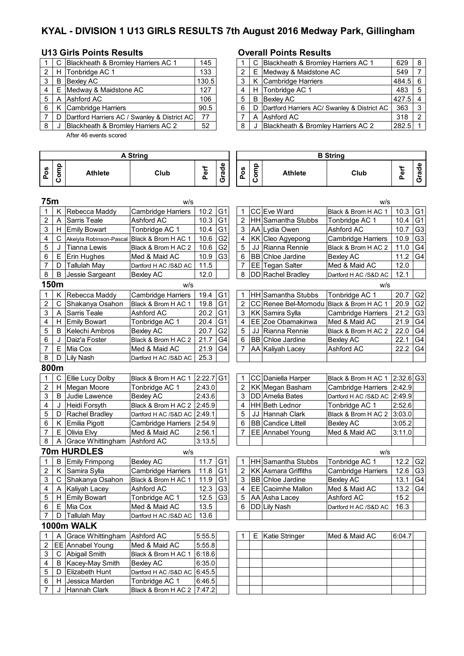# **KYAL - DIVISION 1 U13 GIRLS RESULTS 7th August 2016 Medway Park, Gillingham**

## **U13 Girls Points Results Overall Points Results**

|                | C  | Blackheath & Bromley Harriers AC 1           | 145   |   | C. | Blackheath & Bromley Harriers AC 1       |
|----------------|----|----------------------------------------------|-------|---|----|------------------------------------------|
| $\overline{2}$ | H. | Tonbridge AC 1                               | 133   | っ |    | E   Medway & Maidstone AC                |
| 3              | B  | <b>Bexley AC</b>                             | 130.5 |   | K  | Cambridge Harriers                       |
| 4              |    | E Medway & Maidstone AC                      | 127   | 4 |    | H Tonbridge AC 1                         |
| 5              |    | A Ashford AC                                 | 106   | 5 | B  | <b>Bexley AC</b>                         |
| 6              | K  | Cambridge Harriers                           | 90.5  | 6 | D  | Dartford Harriers AC/ Swanley & District |
|                | D. | Dartford Harriers AC / Swanley & District AC | 77    |   | A  | Ashford AC                               |
| 8              |    | Blackheath & Bromley Harriers AC 2           | 52    | 8 |    | Blackheath & Bromley Harriers AC 2       |

After 46 events scored

|        |   | Blackheath & Bromley Harriers AC 1           | 145   |   |    | Blackheath & Bromley Harriers AC 1            | 629       | -8 |
|--------|---|----------------------------------------------|-------|---|----|-----------------------------------------------|-----------|----|
| $^{2}$ | H | Tonbridge AC 1                               | 133   |   | E. | Medway & Maidstone AC                         | 549       |    |
| 3      | B | Bexlev AC                                    | 130.5 |   | K  | Cambridge Harriers                            | 484.5 6   |    |
| 4      | E | Medway & Maidstone AC                        | 127   |   |    | H Tonbridge AC 1                              | 483       | -5 |
| 5      |   | A Ashford AC                                 | 106   |   | B  | Bexley AC                                     | $427.5$ 4 |    |
| 6.     |   | Cambridge Harriers                           | 90.5  |   |    | D Dartford Harriers AC/ Swanley & District AC | 363       |    |
|        | D | Dartford Harriers AC / Swanley & District AC | 77    |   | A  | Ashford AC                                    | 318       | 2  |
| 8      |   | Blackheath & Bromley Harriers AC 2           | 52    | 8 |    | Blackheath & Bromley Harriers AC 2            | 282.5     |    |

|                |             |                         | <b>A String</b>           |             |                |                |      |                            | <b>B</b> String              |                         |                |
|----------------|-------------|-------------------------|---------------------------|-------------|----------------|----------------|------|----------------------------|------------------------------|-------------------------|----------------|
| Pos            | Comp        | <b>Athlete</b>          | Club                      | Perf        | Grade          | Pos            | Comp | <b>Athlete</b>             | Club                         | Perf                    | Grade          |
| 75m            |             |                         | w/s                       |             |                |                |      |                            | w/s                          |                         |                |
| 1              | Κ           | Rebecca Maddy           | <b>Cambridge Harriers</b> | 10.2        | G <sub>1</sub> | 1              |      | CC Eve Ward                | Black & Brom H AC 1          | 10.3                    | G1             |
| 2              | Α           | <b>Sarris Teale</b>     | Ashford AC                | 10.3        | G <sub>1</sub> | $\overline{c}$ |      | HH Samantha Stubbs         | Tonbridge AC 1               | 10.4                    | G1             |
| 3              | Н.          | <b>Emily Bowart</b>     | Tonbridge AC 1            | 10.4        | G <sub>1</sub> | 3              |      | AA Lydia Owen              | Ashford AC                   | 10.7                    | G3             |
| 4              | С           | Akeiyla Robinson-Pascal | Black & Brom H AC 1       | 10.6        | G <sub>2</sub> | 4              |      | KK Cleo Agyepong           | Cambridge Harriers           | 10.9                    | G <sub>3</sub> |
| 5              | J           | <b>Tianna Lewis</b>     | Black & Brom H AC 2       | 10.6        | G <sub>2</sub> | 5              | JJ   | Rianna Rennie              | Black & Brom H AC 2          | 11.0                    | G4             |
| 6              | E.          | Erin Hughes             | Med & Maid AC             | 10.9        | G <sub>3</sub> | 6              |      | <b>BB</b> Chloe Jardine    | <b>Bexley AC</b>             | 11.2                    | G4             |
| $\overline{7}$ | D           | <b>Tallulah May</b>     | Dartford H AC /S&D AC     | 11.5        |                | 7              |      | EE Tegan Salter            | Med & Maid AC                | 12.0                    |                |
| 8              | В           | Jessie Sargeant         | Bexley AC                 | 12.0        |                | 8              |      | DD Rachel Bradley          | Dartford H AC /S&D AC        | 12.1                    |                |
|                | 150m        |                         | w/s                       |             |                |                |      |                            | w/s                          |                         |                |
| 1              | K.          | Rebecca Maddy           | Cambridge Harriers        | 19.4        | G <sub>1</sub> | 1              |      | HH Samantha Stubbs         | Tonbridge AC 1               | 20.7                    | G <sub>2</sub> |
| $\overline{c}$ | C           | Shakanya Osahon         | Black & Brom H AC 1       | 19.8        | G <sub>1</sub> | $\overline{c}$ |      | CC Renee Bel-Momodu        | Black & Brom H AC 1          | 20.9                    | G <sub>2</sub> |
| 3              | Α           | Sarris Teale            | Ashford AC                | 20.2        | G <sub>1</sub> | 3              |      | KK Samira Sylla            | <b>Cambridge Harriers</b>    | 21.2                    | G <sub>3</sub> |
| 4              | H           | Emily Bowart            | Tonbridge AC 1            | 20.4        | G <sub>1</sub> | $\overline{4}$ |      | EE Zoe Obamakinwa          | Med & Maid AC                | 21.9                    | G4             |
| 5              | B           | Kelechi Ambros          | <b>Bexley AC</b>          | 20.7        | G <sub>2</sub> | 5              |      | JJ Rianna Rennie           | Black & Brom H AC 2          | 22.0                    | G <sub>4</sub> |
| 6              | J           | Daiz'a Foster           | Black & Brom H AC 2       | 21.7        | G <sub>4</sub> | 6              |      | <b>BB</b> Chloe Jardine    | <b>Bexley AC</b>             | 22.1                    | G <sub>4</sub> |
| $\overline{7}$ | E.          | Mia Cox                 | Med & Maid AC             | 21.9        | G <sub>4</sub> | 7              |      | AA Kaliyah Lacey           | Ashford AC                   | 22.2                    | G4             |
| 8              | D           | <b>Lily Nash</b>        | Dartford H AC /S&D AC     | 25.3        |                |                |      |                            |                              |                         |                |
|                | 800m        |                         |                           |             |                |                |      |                            |                              |                         |                |
| 1              | С           | Ellie Lucy Dolby        | Black & Brom H AC 1       | $2:22.7$ G1 |                | 1              |      | CC Daniella Harper         | Black & Brom H AC 1          | $2:32.6$ G <sub>3</sub> |                |
| $\overline{c}$ |             | H Megan Moore           | Tonbridge AC 1            | 2:43.0      |                | 2              |      | KK Megan Basham            | Cambridge Harriers           | 2:42.9                  |                |
| 3              | B           | Judie Lawence           | <b>Bexley AC</b>          | 2:43.6      |                | 3              |      | <b>DD</b> Amelia Bates     | Dartford H AC /S&D AC 2:49.9 |                         |                |
| 4              | J           | Heidi Forsyth           | Black & Brom H AC 2       | 2:45.9      |                | 4              |      | HH Beth Lednor             | Tonbridge AC 1               | 2:52.6                  |                |
| 5              | D           | Rachel Bradley          | Dartford H AC /S&D AC     | 2:49.1      |                | 5              |      | JJ Hannah Clark            | Black & Brom H AC 2          | 3:03.0                  |                |
| 6              | Κ           | Emilia Pigott           | Cambridge Harriers        | 2:54.9      |                | 6              |      | <b>BB</b> Candice Littell  | <b>Bexley AC</b>             | 3:05.2                  |                |
| 7              | E.          | <b>Olivia Elvy</b>      | Med & Maid AC             | 2:56.1      |                | 7              |      | EE Annabel Young           | Med & Maid AC                | 3:11.0                  |                |
| 8              | Α           | Grace Whittingham       | Ashford AC                | 3:13.5      |                |                |      |                            |                              |                         |                |
|                |             | <b>70m HURDLES</b>      | W/S                       |             |                |                |      |                            | w/s                          |                         |                |
| 1              | В           | <b>Emily Frimpong</b>   | <b>Bexley AC</b>          | 11.7        | G <sub>1</sub> | 1              |      | HH Samantha Stubbs         | Tonbridge AC 1               | 12.2                    | G <sub>2</sub> |
| 2              |             | K Samira Sylla          | Cambridge Harriers        | 11.8        | G <sub>1</sub> | 2              |      | <b>KK Asmara Griffiths</b> | Cambridge Harriers           | 12.6                    | G <sub>3</sub> |
| 3              | $\mathbf C$ | Shakanya Osahon         | Black & Brom H AC 1       | 11.9        | G <sub>1</sub> | 3              |      | <b>BB</b> Chloe Jardine    | <b>Bexley AC</b>             | 13.1                    | G4             |
| 4              | A           | Kaliyah Lacey           | Ashford AC                | 12.3        | G <sub>3</sub> | 4              |      | EE Caoimhe Mallon          | Med & Maid AC                | 13.2                    | G4             |
| 5              | Н.          | <b>Emily Bowart</b>     | Tonbridge AC 1            | 12.5        | G <sub>3</sub> | 5              |      | AA Asha Lacey              | Ashford AC                   | 15.2                    |                |
| 6              |             | E Mia Cox               | Med & Maid AC             | 13.5        |                | 6              |      | DD Lily Nash               | Dartford H AC /S&D AC        | 16.3                    |                |
| 7              | D           | <b>Tallulah May</b>     | Dartford H AC /S&D AC     | 13.6        |                |                |      |                            |                              |                         |                |
|                |             | 1000m WALK              |                           |             |                |                |      |                            |                              |                         |                |
| 1              | Α           | Grace Whittingham       | Ashford AC                | 5:55.5      |                | 1              | E.   | Katie Stringer             | Med & Maid AC                | 6:04.7                  |                |
| 2              |             | EE Annabel Young        | Med & Maid AC             | 5:55.8      |                |                |      |                            |                              |                         |                |
| 3              |             | C Abigail Smith         | Black & Brom H AC 1       | 6:18.6      |                |                |      |                            |                              |                         |                |
| 4              | B           | Kacey-May Smith         | <b>Bexley AC</b>          | 6:35.0      |                |                |      |                            |                              |                         |                |
| 5              | D           | Elizabeth Hunt          | Dartford H AC /S&D AC     | 6:45.5      |                |                |      |                            |                              |                         |                |
| 6              | H.          | Jessica Marden          | Tonbridge AC 1            | 6:46.5      |                |                |      |                            |                              |                         |                |
| 7              | J           | Hannah Clark            | Black & Brom H AC 2       | 7:47.2      |                |                |      |                            |                              |                         |                |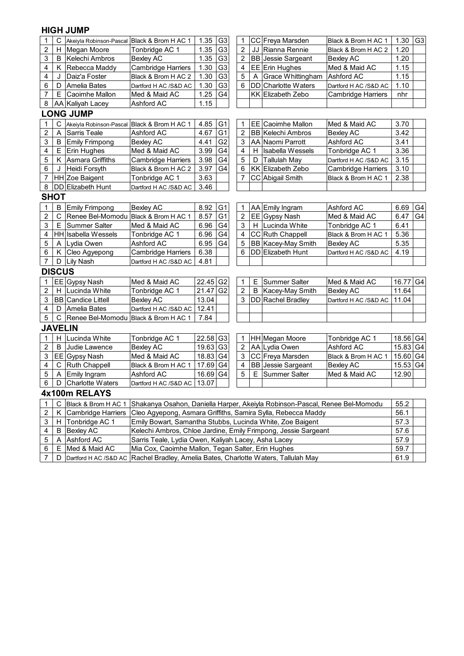### **HIGH JUMP**

| 1                         | С             | Akeiyla Robinson-Pascal Black & Brom H AC 1 |                                                                                                  | 1.35                                                                                  | G <sub>3</sub> | 1              |    | CC Freya Marsden          | Black & Brom H AC 1       | 1.30         | G <sub>3</sub> |  |
|---------------------------|---------------|---------------------------------------------|--------------------------------------------------------------------------------------------------|---------------------------------------------------------------------------------------|----------------|----------------|----|---------------------------|---------------------------|--------------|----------------|--|
| $\boldsymbol{2}$          | H             | Megan Moore                                 | Tonbridge AC 1                                                                                   | 1.35                                                                                  | G <sub>3</sub> | $\overline{2}$ | JJ | Rianna Rennie             | Black & Brom H AC 2       | 1.20         |                |  |
| 3                         | B             | Kelechi Ambros                              | <b>Bexley AC</b>                                                                                 | 1.35                                                                                  | G <sub>3</sub> | 2              |    | <b>BB</b> Jessie Sargeant | <b>Bexley AC</b>          | 1.20         |                |  |
| 4                         | Κ             | Rebecca Maddy                               | <b>Cambridge Harriers</b>                                                                        | 1.30                                                                                  | G <sub>3</sub> | 4              |    | EE Erin Hughes            | Med & Maid AC             | 1.15         |                |  |
| 4                         | J             | Daiz'a Foster                               | Black & Brom H AC 2                                                                              | 1.30                                                                                  | G <sub>3</sub> | 5              | A  | Grace Whittingham         | <b>Ashford AC</b>         | 1.15         |                |  |
| 6                         | D             | Amelia Bates                                | Dartford H AC /S&D AC                                                                            | 1.30                                                                                  | G <sub>3</sub> | 6              |    | DD Charlotte Waters       | Dartford H AC /S&D AC     | 1.10         |                |  |
| $\overline{7}$            | E             | Caoimhe Mallon                              | Med & Maid AC                                                                                    | 1.25                                                                                  | G4             |                |    | KK Elizabeth Zebo         | Cambridge Harriers        | nhr          |                |  |
| 8                         |               | AA Kaliyah Lacey                            | Ashford AC                                                                                       | 1.15                                                                                  |                |                |    |                           |                           |              |                |  |
|                           |               | <b>LONG JUMP</b>                            |                                                                                                  |                                                                                       |                |                |    |                           |                           |              |                |  |
| 1                         | C             | Akeiyla Robinson-Pascal                     | Black & Brom H AC 1                                                                              | 4.85                                                                                  | G1             | 1              |    | EE Caoimhe Mallon         | Med & Maid AC             | 3.70         |                |  |
| $\boldsymbol{2}$          | Α             | Sarris Teale                                | Ashford AC                                                                                       | 4.67                                                                                  | G <sub>1</sub> | $\overline{2}$ |    | <b>BB Kelechi Ambros</b>  | <b>Bexley AC</b>          | 3.42         |                |  |
| 3                         | B             | <b>Emily Frimpong</b>                       | <b>Bexley AC</b>                                                                                 | 4.41                                                                                  | G <sub>2</sub> | 3              |    | AA Naomi Parrott          | Ashford AC                | 3.41         |                |  |
| 4                         | E             | Erin Hughes                                 | Med & Maid AC                                                                                    | G <sub>4</sub><br>4<br>3.36<br>3.99<br><b>Isabella Wessels</b><br>Tonbridge AC 1<br>H |                |                |    |                           |                           |              |                |  |
| 5                         | Κ             | Asmara Griffiths                            | Cambridge Harriers                                                                               | G4<br>5<br>3.98<br><b>Tallulah May</b><br>3.15<br>D<br>Dartford H AC /S&D AC          |                |                |    |                           |                           |              |                |  |
| $\,6$                     | J             | Heidi Forsyth                               | Black & Brom H AC 2                                                                              | 3.97                                                                                  | G4             | 6              |    | KK Elizabeth Zebo         | <b>Cambridge Harriers</b> | 3.10         |                |  |
| 7                         |               | HH Zoe Baigent                              | Tonbridge AC 1                                                                                   | 3.63                                                                                  |                | 7              |    | CC Abigail Smith          | Black & Brom H AC 1       | 2.38         |                |  |
| $\bf 8$                   |               | DD Elizabeth Hunt                           | 3.46<br>Dartford H AC /S&D AC                                                                    |                                                                                       |                |                |    |                           |                           |              |                |  |
|                           | <b>SHOT</b>   |                                             |                                                                                                  |                                                                                       |                |                |    |                           |                           |              |                |  |
| $\mathbf{1}$              | B             | <b>Emily Frimpong</b>                       | <b>Bexley AC</b>                                                                                 | 8.92                                                                                  | G <sub>1</sub> | 1              |    | AA Emily Ingram           | Ashford AC                | 6.69         | G4             |  |
| $\overline{2}$            | C             | Renee Bel-Momodu Black & Brom H AC 1        |                                                                                                  | 8.57                                                                                  | G <sub>1</sub> | $\overline{c}$ |    | EE Gypsy Nash             | Med & Maid AC             | 6.47         | G4             |  |
| 3                         | Е             | <b>Summer Salter</b>                        | Med & Maid AC                                                                                    | 6.96                                                                                  | G <sub>4</sub> | 3              |    | H Lucinda White           | Tonbridge AC 1            | 6.41         |                |  |
| 4                         |               | HH Isabella Wessels                         | Tonbridge AC 1                                                                                   | 6.96                                                                                  | G4             | 4              |    | CC Ruth Chappell          | Black & Brom H AC 1       | 5.36         |                |  |
| 5                         | A             | Lydia Owen                                  | Ashford AC                                                                                       | 5<br>6.95<br>BB Kacey-May Smith<br>G4<br><b>Bexley AC</b><br>5.35                     |                |                |    |                           |                           |              |                |  |
| 6                         | Κ             | Cleo Agyepong                               | Cambridge Harriers                                                                               | 6.38                                                                                  |                | 6              |    | <b>DD</b> Elizabeth Hunt  | Dartford H AC /S&D AC     | 4.19         |                |  |
| $\overline{7}$            | D             | <b>Lily Nash</b>                            | Dartford H AC /S&D AC                                                                            | 4.81                                                                                  |                |                |    |                           |                           |              |                |  |
|                           | <b>DISCUS</b> |                                             |                                                                                                  |                                                                                       |                |                |    |                           |                           |              |                |  |
| 1                         |               | EE Gypsy Nash                               | Med & Maid AC                                                                                    | 22.45                                                                                 | G <sub>2</sub> | 1              | Ε  | Summer Salter             | Med & Maid AC             | 16.77        | G4             |  |
| $\boldsymbol{2}$          | Н             | Lucinda White                               | Tonbridge AC 1                                                                                   | 21.47                                                                                 | G <sub>2</sub> | $\overline{c}$ | B  | Kacey-May Smith           | <b>Bexley AC</b>          | 11.64        |                |  |
| $\ensuremath{\mathsf{3}}$ |               | <b>BB</b> Candice Littell                   | <b>Bexley AC</b>                                                                                 | 13.04                                                                                 |                | 3              |    | DD Rachel Bradley         | Dartford H AC /S&D AC     | 11.04        |                |  |
| $\overline{\mathbf{4}}$   | D             | Amelia Bates                                | Dartford H AC /S&D AC                                                                            | 12.41                                                                                 |                |                |    |                           |                           |              |                |  |
| 5                         | C             | Renee Bel-Momodu Black & Brom H AC 1        |                                                                                                  | 7.84                                                                                  |                |                |    |                           |                           |              |                |  |
|                           |               | <b>JAVELIN</b>                              |                                                                                                  |                                                                                       |                |                |    |                           |                           |              |                |  |
| $\mathbf{1}$              | Н             | Lucinda White                               | Tonbridge AC 1                                                                                   | 22.58                                                                                 | G <sub>3</sub> | 1              |    | HH Megan Moore            | Tonbridge AC 1            | 18.56 G4     |                |  |
| $\overline{2}$            | В             | Judie Lawence                               | <b>Bexley AC</b>                                                                                 | 19.63                                                                                 | G <sub>3</sub> | 2              |    | AA Lydia Owen             | Ashford AC                | 15.83 G4     |                |  |
| 3                         | EE]           | <b>Gypsy Nash</b>                           | Med & Maid AC                                                                                    | 18.83                                                                                 | G <sub>4</sub> | 3              |    | CC Freya Marsden          | Black & Brom H AC 1       | 15.60 G4     |                |  |
| 4                         | $\mathsf{C}$  | Ruth Chappell                               | Black & Brom H AC 1                                                                              | 17.69                                                                                 | G <sub>4</sub> |                |    | <b>BB</b> Jessie Sargeant | <b>Bexley AC</b>          | 15.53        | G4             |  |
| 5                         | A             | Emily Ingram                                | 4<br>5<br>16.69<br>E.<br>Summer Salter<br>Ashford AC<br>G <sub>4</sub><br>Med & Maid AC<br>12.90 |                                                                                       |                |                |    |                           |                           |              |                |  |
| 6                         | D             | Charlotte Waters                            | 13.07<br>Dartford H AC /S&D AC                                                                   |                                                                                       |                |                |    |                           |                           |              |                |  |
|                           |               | 4x100m RELAYS                               |                                                                                                  |                                                                                       |                |                |    |                           |                           |              |                |  |
|                           | C             |                                             |                                                                                                  |                                                                                       |                |                |    |                           |                           | 55.2         |                |  |
| $\mathbf{1}$              |               | Black & Brom H AC 1                         | Shakanya Osahon, Daniella Harper, Akeiyla Robinson-Pascal, Renee Bel-Momodu                      |                                                                                       |                |                |    |                           |                           |              |                |  |
| $\overline{2}$            | Κ             | Cambridge Harriers                          | Cleo Agyepong, Asmara Griffiths, Samira Sylla, Rebecca Maddy                                     |                                                                                       |                |                |    |                           |                           | 56.1         |                |  |
| 3                         | H             | Tonbridge AC 1                              | Emily Bowart, Samantha Stubbs, Lucinda White, Zoe Baigent                                        |                                                                                       |                |                |    |                           |                           | 57.3         |                |  |
| $\overline{\mathbf{4}}$   | B             | <b>Bexley AC</b>                            | Kelechi Ambros, Chloe Jardine, Emily Frimpong, Jessie Sargeant                                   |                                                                                       |                |                |    |                           |                           | 57.6         |                |  |
| 5                         | A             | Ashford AC                                  | Sarris Teale, Lydia Owen, Kaliyah Lacey, Asha Lacey                                              |                                                                                       |                |                |    |                           |                           | 57.9<br>59.7 |                |  |
| 6                         | Е             | Med & Maid AC                               | Mia Cox, Caoimhe Mallon, Tegan Salter, Erin Hughes<br>61.9                                       |                                                                                       |                |                |    |                           |                           |              |                |  |
| $\overline{7}$            | D             | Dartford H AC /S&D AC                       | Rachel Bradley, Amelia Bates, Charlotte Waters, Tallulah May                                     |                                                                                       |                |                |    |                           |                           |              |                |  |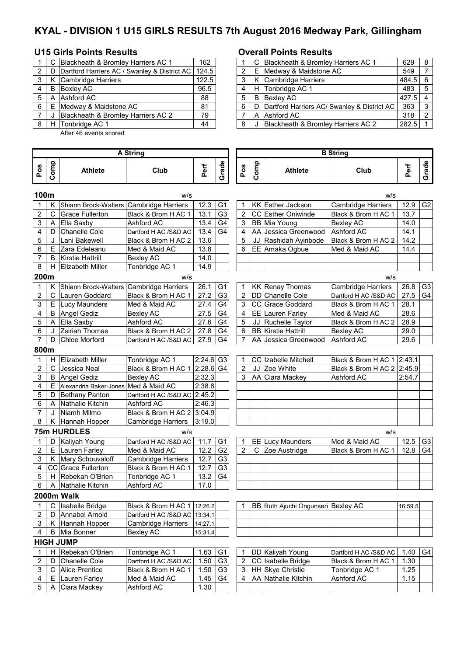# **KYAL - DIVISION 1 U15 GIRLS RESULTS 7th August 2016 Medway Park, Gillingham**

## **U15 Girls Points Results Overall Points Results**

|   |   | C Blackheath & Bromley Harriers AC 1                     | 162   |   | C Blackheath & Bromley Harriers AC 1          |
|---|---|----------------------------------------------------------|-------|---|-----------------------------------------------|
|   |   | D   Dartford Harriers AC / Swanley & District AC   124.5 |       | 2 | E Medway & Maidstone AC                       |
|   |   | K Cambridge Harriers                                     | 122.5 |   | K Cambridge Harriers                          |
|   | B | Bexley AC                                                | 96.5  |   | H Tonbridge AC 1                              |
|   |   | A Ashford AC                                             | 88    | 5 | <b>B</b> Bexley AC                            |
| 6 |   | E Medway & Maidstone AC                                  | 81    | 6 | D Dartford Harriers AC/ Swanley & District AC |
|   |   | Blackheath & Bromley Harriers AC 2                       | 79    |   | A Ashford AC                                  |
|   |   | H Tonbridge AC 1                                         | 44    | 8 | Blackheath & Bromley Harriers AC 2            |
|   |   |                                                          |       |   |                                               |

After 46 events scored

|     | C   | Blackheath & Bromley Harriers AC 1                   | 162   |  |   | C Blackheath & Bromley Harriers AC 1          | 629       | - 8           |
|-----|-----|------------------------------------------------------|-------|--|---|-----------------------------------------------|-----------|---------------|
| 2 I | - D | Dartford Harriers AC / Swanley & District AC   124.5 |       |  |   | E Medway & Maidstone AC                       | 549       |               |
| 3 I |     | K Cambridge Harriers                                 | 122.5 |  |   | K Cambridge Harriers                          | $484.5$ 6 |               |
| 4   | B   | Bexley AC                                            | 96.5  |  |   | H Tonbridge AC 1                              | 483       | -5            |
| 5   |     | A Ashford AC                                         | 88    |  | B | Bexley AC                                     | $427.5$ 4 |               |
| 6 E |     | Medway & Maidstone AC                                | 81    |  |   | D Dartford Harriers AC/ Swanley & District AC | 363       | 3             |
|     |     | Blackheath & Bromley Harriers AC 2                   | 79    |  |   | A Ashford AC                                  | 318       | $\mathcal{P}$ |
| 8   | H   | Tonbridge AC 1                                       | 44    |  |   | Blackheath & Bromley Harriers AC 2            | 282.5     |               |

|                | <b>A String</b> |                                         |                               |                         |                |                |      | <b>B</b> String                    |                            |         |                |  |  |  |  |  |
|----------------|-----------------|-----------------------------------------|-------------------------------|-------------------------|----------------|----------------|------|------------------------------------|----------------------------|---------|----------------|--|--|--|--|--|
| Pos            | Comp            | Athlete                                 | Club                          | Perf                    | Grade          | Pos            | Comp | Athlete                            | Club                       | Perf    | Grade          |  |  |  |  |  |
|                | 100m<br>w/s     |                                         |                               |                         |                |                |      |                                    | w/s                        |         |                |  |  |  |  |  |
| 1              | Κ               | Shiann Brock-Walters Cambridge Harriers |                               | 12.3                    | G <sub>1</sub> | 1              |      | KK Esther Jackson                  | <b>Cambridge Harriers</b>  | 12.9    | G <sub>2</sub> |  |  |  |  |  |
| $\overline{2}$ | C               | <b>Grace Fullerton</b>                  | Black & Brom H AC 1           | 13.1                    | G <sub>3</sub> | $\overline{2}$ |      | CC Esther Oniwinde                 | Black & Brom H AC 1        | 13.7    |                |  |  |  |  |  |
| 3              | Α               | Ella Saxby                              | Ashford AC                    | 13.4                    | G <sub>4</sub> | 3              |      | BB Mia Young                       | Bexley AC                  | 14.0    |                |  |  |  |  |  |
| 4              | D               | <b>Chanelle Cole</b>                    | Dartford H AC /S&D AC         | 13.4                    | G <sub>4</sub> | 4              |      | AA Jessica Greenwood               | Ashford AC                 | 14.1    |                |  |  |  |  |  |
| 5              | J               | Lani Bakewell                           | Black & Brom H AC 2           | 13.6                    |                | 5              | JJ   | Rashidah Ayinbode                  | Black & Brom H AC 2        | 14.2    |                |  |  |  |  |  |
| 6              | E               | Zara Edeleanu                           | Med & Maid AC                 | 13.8                    |                | 6              |      | EE Amaka Ogbue                     | Med & Maid AC              | 14.4    |                |  |  |  |  |  |
| $\overline{7}$ | B               | <b>Kirstie Hattrill</b>                 | <b>Bexley AC</b>              | 14.0                    |                |                |      |                                    |                            |         |                |  |  |  |  |  |
| 8              | H.              | <b>Elizabeth Miller</b>                 | Tonbridge AC 1                | 14.9                    |                |                |      |                                    |                            |         |                |  |  |  |  |  |
| 200m           |                 |                                         | w/s                           |                         |                |                |      |                                    | w/s                        |         |                |  |  |  |  |  |
| 1              | Κ               | Shiann Brock-Walters Cambridge Harriers |                               | 26.1                    | G <sub>1</sub> | 1              |      | KK Renay Thomas                    | <b>Cambridge Harriers</b>  | 26.8    | G <sub>3</sub> |  |  |  |  |  |
| $\overline{2}$ | $\mathsf{C}$    | Lauren Goddard                          | Black & Brom H AC 1           | 27.2                    | G3             | 2              |      | DD Chanelle Cole                   | Dartford H AC /S&D AC      | 27.5    | G4             |  |  |  |  |  |
| 3              |                 | E Lucy Maunders                         | Med & Maid AC                 | 27.4                    | G <sub>4</sub> | 3              |      | CC Grace Goddard                   | Black & Brom H AC 1        | 28.1    |                |  |  |  |  |  |
| 4              |                 | <b>B</b> Angel Gediz                    | <b>Bexley AC</b>              | 27.5                    | G <sub>4</sub> | 4              |      | EE Lauren Farley                   | Med & Maid AC              | 28.6    |                |  |  |  |  |  |
| 5              | A               | Ella Saxby                              | Ashford AC                    | 27.6                    | G <sub>4</sub> | 5              | JJ   | Ruchelle Taylor                    | Black & Brom H AC 2        | 28.9    |                |  |  |  |  |  |
| 6              | J               | Zsiriah Thomas                          | Black & Brom H AC 2           | 27.8                    | G <sub>4</sub> | 6              |      | <b>BB</b> Kirstie Hattrill         | <b>Bexley AC</b>           | 29.0    |                |  |  |  |  |  |
| $\overline{7}$ | D               | Chloe Morford                           | Dartford H AC /S&D AC         | 27.9                    | G4             | 7              |      | AA Jessica Greenwood               | Ashford AC                 | 29.6    |                |  |  |  |  |  |
| 800m           |                 |                                         |                               |                         |                |                |      |                                    |                            |         |                |  |  |  |  |  |
| 1              | H.              | Elizabeth Miller                        | Tonbridge AC 1                | $2:24.6$ G <sub>3</sub> |                | 1              |      | CC Izabelle Mitchell               | Black & Brom H AC 1 2:43.1 |         |                |  |  |  |  |  |
| $\overline{c}$ | $\mathsf C$     | Jessica Neal                            | Black & Brom H AC 1           | $2:28.6$ G4             |                | $\overline{2}$ | JJ   | Zoe White                          | Black & Brom H AC 2 2:45.9 |         |                |  |  |  |  |  |
| 3              | B               | Angel Gediz                             | <b>Bexley AC</b>              | 2:32.3                  |                | 3              |      | AA Ciara Mackey                    | Ashford AC                 | 2:54.7  |                |  |  |  |  |  |
| 4              | E.              | Alexandria Baker-Jones                  | Med & Maid AC                 | 2:38.8                  |                |                |      |                                    |                            |         |                |  |  |  |  |  |
| 5              | D               | <b>Bethany Panton</b>                   | Dartford H AC /S&D AC         | 2:45.2                  |                |                |      |                                    |                            |         |                |  |  |  |  |  |
| 6              | A               | Nathalie Kitchin                        | Ashford AC                    | 2:46.3                  |                |                |      |                                    |                            |         |                |  |  |  |  |  |
| 7              | J               | Niamh Milmo                             | Black & Brom H AC 2           | 3:04.9                  |                |                |      |                                    |                            |         |                |  |  |  |  |  |
| 8              | Κ               | Hannah Hopper                           | <b>Cambridge Harriers</b>     | 3:19.0                  |                |                |      |                                    |                            |         |                |  |  |  |  |  |
|                |                 | <b>75m HURDLES</b>                      | w/s                           |                         |                |                |      |                                    | w/s                        |         |                |  |  |  |  |  |
| 1              | D               | Kaliyah Young                           | Dartford H AC /S&D AC         | 11.7                    | G <sub>1</sub> | 1              |      | <b>EE</b> Lucy Maunders            | Med & Maid AC              | 12.5    | G <sub>3</sub> |  |  |  |  |  |
| 2              |                 | E Lauren Farley                         | Med & Maid AC                 | 12.2                    | G2             | $\overline{2}$ | C    | Zoe Austridge                      | Black & Brom H AC 1        | 12.8    | G4             |  |  |  |  |  |
| 3              |                 | K Mary Schouvaloff                      | <b>Cambridge Harriers</b>     | 12.7                    | G <sub>3</sub> |                |      |                                    |                            |         |                |  |  |  |  |  |
| 4              |                 | CC Grace Fullerton                      | Black & Brom H AC 1           | 12.7                    | G <sub>3</sub> |                |      |                                    |                            |         |                |  |  |  |  |  |
| 5              |                 | H Rebekah O'Brien                       | Tonbridge AC 1                | 13.2                    | G4             |                |      |                                    |                            |         |                |  |  |  |  |  |
| 6              | A               | Nathalie Kitchin                        | Ashford AC                    | 17.0                    |                |                |      |                                    |                            |         |                |  |  |  |  |  |
|                |                 | 2000m Walk                              |                               |                         |                |                |      |                                    |                            |         |                |  |  |  |  |  |
| 1              | C               | Isabelle Bridge                         | Black & Brom H AC 1   12:26.2 |                         |                | 1              |      | BB Ruth Ajuchi Ongunseri Bexley AC |                            | 16:59.5 |                |  |  |  |  |  |
| 2              | D               | Annabel Arnold                          | Dartford H AC /S&D AC         | 13:34.1                 |                |                |      |                                    |                            |         |                |  |  |  |  |  |
| 3              |                 | K Hannah Hopper                         | Cambridge Harriers            | 14:27.1                 |                |                |      |                                    |                            |         |                |  |  |  |  |  |
| 4              |                 | <b>B</b> Mia Bonner                     | <b>Bexley AC</b>              | 15:31.4                 |                |                |      |                                    |                            |         |                |  |  |  |  |  |
|                |                 | <b>HIGH JUMP</b>                        |                               |                         |                |                |      |                                    |                            |         |                |  |  |  |  |  |
| 1              | н               | Rebekah O'Brien                         | Tonbridge AC 1                | 1.63                    | G <sub>1</sub> | 1              |      | DD Kaliyah Young                   | Dartford H AC /S&D AC      | 1.40    | G4             |  |  |  |  |  |
| 2              | D               | Chanelle Cole                           | Dartford H AC /S&D AC         | 1.50                    | G <sub>3</sub> | 2              |      | CC Isabelle Bridge                 | Black & Brom H AC 1        | 1.30    |                |  |  |  |  |  |
| 3              | $\mathbf C$     | <b>Alice Prentice</b>                   | Black & Brom H AC 1           | 1.50                    | G <sub>3</sub> | 3              |      | HH Skye Christie                   | Tonbridge AC 1             | 1.25    |                |  |  |  |  |  |
| 4              | E.              | Lauren Farley                           | Med & Maid AC                 | 1.45                    | G4             | 4              |      | AA Nathalie Kitchin                | Ashford AC                 | 1.15    |                |  |  |  |  |  |
| 5              | A               | Ciara Mackey                            | Ashford AC                    | 1.30                    |                |                |      |                                    |                            |         |                |  |  |  |  |  |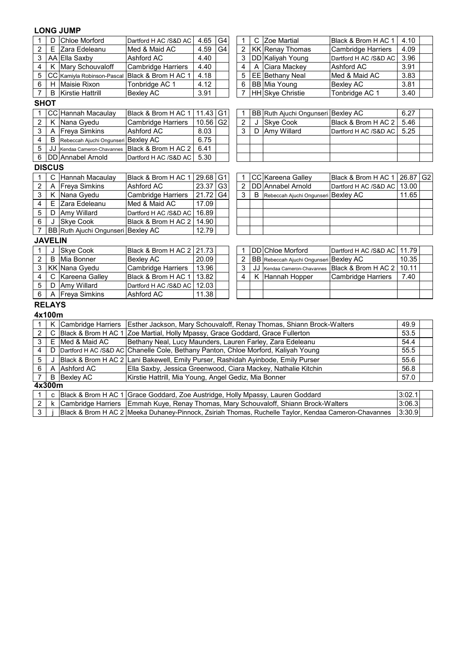### **LONG JUMP**

| 1              | D              | <b>Chloe Morford</b>                | Dartford H AC /S&D AC                                                             | 4.65                                                                                | G4             | 1              | C  | Zoe Martial                            | Black & Brom H AC 1         | 4.10       |  |
|----------------|----------------|-------------------------------------|-----------------------------------------------------------------------------------|-------------------------------------------------------------------------------------|----------------|----------------|----|----------------------------------------|-----------------------------|------------|--|
| $\overline{2}$ | E              | Zara Edeleanu                       | Med & Maid AC                                                                     | $\overline{2}$<br>4.59<br>G4<br><b>KK Renay Thomas</b><br><b>Cambridge Harriers</b> |                | 4.09           |    |                                        |                             |            |  |
| 3              |                | AA Ella Saxby                       | Ashford AC                                                                        | 4.40                                                                                |                | 3              |    | DD Kaliyah Young                       | Dartford H AC /S&D AC       | 3.96       |  |
| 4              |                | K Mary Schouvaloff                  | <b>Cambridge Harriers</b>                                                         | 4.40                                                                                |                | 4              | Α  | Ciara Mackey                           | Ashford AC                  | 3.91       |  |
| 5              |                | CC Kamiyla Robinson-Pascal          | Black & Brom H AC 1                                                               | 4.18                                                                                |                | 5              |    | EE Bethany Neal                        | Med & Maid AC               | 3.83       |  |
| 6              | H              | Maisie Rixon                        | Tonbridge AC 1                                                                    | 4.12                                                                                |                | 6              |    | <b>BB</b> Mia Young                    | <b>Bexley AC</b>            | 3.81       |  |
| 7              | $\sf B$        | Kirstie Hattrill                    | <b>Bexley AC</b>                                                                  | 3.91                                                                                |                | $\overline{7}$ |    | HH Skye Christie                       | Tonbridge AC 1              | 3.40       |  |
| <b>SHOT</b>    |                |                                     |                                                                                   |                                                                                     |                |                |    |                                        |                             |            |  |
| 1              |                | CC Hannah Macaulay                  | Black & Brom H AC 1                                                               | 11.43                                                                               | G <sub>1</sub> | 1              |    | BB Ruth Ajuchi Ongunseri Bexley AC     |                             | 6.27       |  |
| 2              | Κ              | Nana Gyedu                          | Cambridge Harriers                                                                | 10.56                                                                               | G <sub>2</sub> | $\overline{2}$ | J  | <b>Skye Cook</b>                       | Black & Brom H AC 2         | 5.46       |  |
| 3              | A              | <b>Freya Simkins</b>                | Ashford AC                                                                        | 8.03                                                                                |                | 3              | D  | Amy Willard                            | Dartford H AC /S&D AC       | 5.25       |  |
| 4              | B              | Rebeccah Ajuchi Ongunseri Bexley AC |                                                                                   | 6.75                                                                                |                |                |    |                                        |                             |            |  |
| 5              | JJ             | Kendaa Cameron-Chavannes            | Black & Brom H AC 2                                                               | 6.41                                                                                |                |                |    |                                        |                             |            |  |
| $\,6\,$        |                | DD Annabel Arnold                   | Dartford H AC /S&D AC                                                             | 5.30                                                                                |                |                |    |                                        |                             |            |  |
| <b>DISCUS</b>  |                |                                     |                                                                                   |                                                                                     |                |                |    |                                        |                             |            |  |
| 1              | $\mathsf C$    | Hannah Macaulay                     | Black & Brom H AC 1                                                               | 29.68                                                                               | G1             | 1              |    | CC Kareena Galley                      | Black & Brom H AC 1         | $26.87$ G2 |  |
| $\overline{2}$ | A              | <b>Freya Simkins</b>                | Ashford AC                                                                        | 23.37                                                                               | G3             | $\overline{2}$ |    | DD Annabel Arnold                      | Dartford H AC /S&D AC       | 13.00      |  |
| 3              |                | K Nana Gyedu                        | Cambridge Harriers                                                                | 21.72                                                                               | G4             | 3              | B  | Rebeccah Ajuchi Ongunseri Bexley AC    |                             | 11.65      |  |
| 4              |                | E Zara Edeleanu                     | Med & Maid AC                                                                     | 17.09                                                                               |                |                |    |                                        |                             |            |  |
| 5              | D              | Amy Willard                         | Dartford H AC /S&D AC                                                             | 16.89                                                                               |                |                |    |                                        |                             |            |  |
| 6              | J              | <b>Skye Cook</b>                    | Black & Brom H AC 2                                                               | 14.90                                                                               |                |                |    |                                        |                             |            |  |
| $\overline{7}$ |                | BB Ruth Ajuchi Ongunseri Bexley AC  |                                                                                   | 12.79                                                                               |                |                |    |                                        |                             |            |  |
|                | <b>JAVELIN</b> |                                     |                                                                                   |                                                                                     |                |                |    |                                        |                             |            |  |
| $\mathbf{1}$   | $\cdot$        | <b>Skye Cook</b>                    | Black & Brom H AC 2 21.73                                                         |                                                                                     |                | 1              |    | <b>DD</b> Chloe Morford                | Dartford H AC /S&D AC 11.79 |            |  |
| 2              | B              | Mia Bonner                          | <b>Bexley AC</b>                                                                  | 20.09                                                                               |                | 2              |    | BB Rebeccah Ajuchi Ongunseri Bexley AC |                             | 10.35      |  |
| 3              |                | <b>KK Nana Gyedu</b>                | Cambridge Harriers                                                                | 13.96                                                                               |                | 3              | JJ | Kendaa Cameron-Chavannes               | Black & Brom H AC 2         | 10.11      |  |
| 4              |                | C Kareena Galley                    | Black & Brom H AC 1                                                               | 13.82                                                                               |                | 4              | Κ  | Hannah Hopper                          | <b>Cambridge Harriers</b>   | 7.40       |  |
| 5              |                | D Amy Willard                       | Dartford H AC /S&D AC                                                             | 12.03                                                                               |                |                |    |                                        |                             |            |  |
| 6              |                | A Freya Simkins                     | Ashford AC                                                                        | 11.38                                                                               |                |                |    |                                        |                             |            |  |
| <b>RELAYS</b>  |                |                                     |                                                                                   |                                                                                     |                |                |    |                                        |                             |            |  |
| 4x100m         |                |                                     |                                                                                   |                                                                                     |                |                |    |                                        |                             |            |  |
| 1              |                | K Cambridge Harriers                | Esther Jackson, Mary Schouvaloff, Renay Thomas, Shiann Brock-Walters              |                                                                                     |                |                |    |                                        |                             | 49.9       |  |
| $\overline{c}$ | $\mathsf C$    | Black & Brom H AC 1                 | Zoe Martial, Holly Mpassy, Grace Goddard, Grace Fullerton                         |                                                                                     |                |                |    |                                        |                             | 53.5       |  |
| 3              | E              | Med & Maid AC                       | Bethany Neal, Lucy Maunders, Lauren Farley, Zara Edeleanu                         |                                                                                     |                |                |    |                                        |                             | 54.4       |  |
| 4              | D              |                                     | Dartford H AC /S&D AC Chanelle Cole, Bethany Panton, Chloe Morford, Kaliyah Young |                                                                                     |                |                |    |                                        |                             | 55.5       |  |
| 5              |                |                                     | Black & Brom H AC 2 Lani Bakewell, Emily Purser, Rashidah Ayinbode, Emily Purser  |                                                                                     |                |                |    |                                        |                             | 55.6       |  |
| 6              | A              | <b>Ashford AC</b>                   | Ella Saxby, Jessica Greenwood, Ciara Mackey, Nathalie Kitchin                     |                                                                                     |                |                |    |                                        |                             | 56.8       |  |
| $\overline{7}$ | B              | <b>Bexley AC</b>                    | Kirstie Hattrill, Mia Young, Angel Gediz, Mia Bonner                              |                                                                                     |                |                |    |                                        |                             | 57.0       |  |
| 4x300m         |                |                                     |                                                                                   |                                                                                     |                |                |    |                                        |                             |            |  |

|  | c   Black & Brom H AC 1   Grace Goddard, Zoe Austridge, Holly Mpassy, Lauren Goddard                   | 13:02  |  |
|--|--------------------------------------------------------------------------------------------------------|--------|--|
|  | 2   k   Cambridge Harriers   Emmah Kuye, Renay Thomas, Mary Schouvaloff, Shiann Brock-Walters          | 3:06.3 |  |
|  | Black & Brom H AC 2   Meeka Duhaney-Pinnock, Zsiriah Thomas, Ruchelle Taylor, Kendaa Cameron-Chavannes | 3:30.9 |  |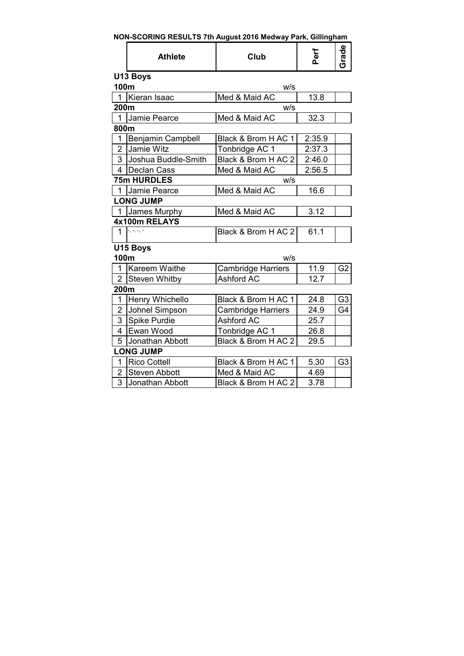| NON-SCORING RESULTS 7th August 2016 Medway Park, Gillingham |  |  |
|-------------------------------------------------------------|--|--|
|                                                             |  |  |

|                         | <b>Athlete</b>        | Club                      | Perf   | Grade          |
|-------------------------|-----------------------|---------------------------|--------|----------------|
|                         | U13 Boys              |                           |        |                |
| 100m                    |                       | W/S                       |        |                |
| 1                       | Kieran Isaac          | Med & Maid AC             | 13.8   |                |
| 200m                    |                       | W/S                       |        |                |
| 1                       | Jamie Pearce          | Med & Maid AC             | 32.3   |                |
| 800m                    |                       |                           |        |                |
| 1                       | Benjamin Campbell     | Black & Brom H AC 1       | 2:35.9 |                |
| $\overline{2}$          | Jamie Witz            | Tonbridge AC 1            | 2:37.3 |                |
| 3                       | Joshua Buddle-Smith   | Black & Brom H AC 2       | 2:46.0 |                |
| $\overline{\mathbf{4}}$ | <b>Declan Cass</b>    | Med & Maid AC             | 2:56.5 |                |
|                         | 75m HURDLES           | W/S                       |        |                |
| 1                       | Jamie Pearce          | Med & Maid AC             | 16.6   |                |
|                         | <b>LONG JUMP</b>      |                           |        |                |
| $\mathbf{1}$            | James Murphy          | Med & Maid AC             | 3.12   |                |
|                         | 4x100m RELAYS         |                           |        |                |
| $\mathbf{1}$            | $-$ , $-$ , $-$ , $-$ | Black & Brom H AC 2       | 61.1   |                |
|                         | U15 Boys              |                           |        |                |
| 100m                    |                       | w/s                       |        |                |
| 1                       | Kareem Waithe         | <b>Cambridge Harriers</b> | 11.9   | G <sub>2</sub> |
| $\overline{2}$          | Steven Whitby         | <b>Ashford AC</b>         | 12.7   |                |
| 200m                    |                       |                           |        |                |
| 1                       | Henry Whichello       | Black & Brom H AC 1       | 24.8   | G <sub>3</sub> |
| $\overline{2}$          | Johnel Simpson        | <b>Cambridge Harriers</b> | 24.9   | G4             |
| 3                       | Spike Purdie          | <b>Ashford AC</b>         | 25.7   |                |
| 4                       | Ewan Wood             | Tonbridge AC 1            | 26.8   |                |
| 5                       | Jonathan Abbott       | Black & Brom H AC 2       | 29.5   |                |
|                         | <b>LONG JUMP</b>      |                           |        |                |
| 1                       | <b>Rico Cottell</b>   | Black & Brom H AC 1       | 5.30   | G <sub>3</sub> |
| 2                       | <b>Steven Abbott</b>  | Med & Maid AC             | 4.69   |                |
| 3                       | Jonathan Abbott       | Black & Brom H AC 2       | 3.78   |                |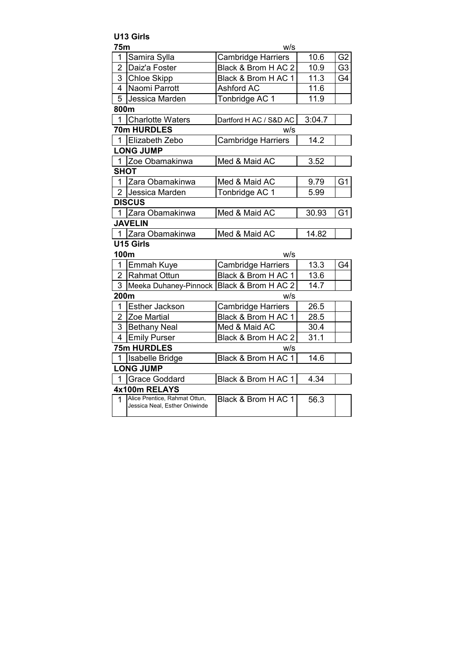|                | <b>U13 Girls</b>                                               |                           |        |                |
|----------------|----------------------------------------------------------------|---------------------------|--------|----------------|
| 75m            |                                                                | W/S                       |        |                |
| 1              | Samira Sylla                                                   | <b>Cambridge Harriers</b> | 10.6   | G <sub>2</sub> |
| $\overline{2}$ | Daiz'a Foster                                                  | Black & Brom H AC 2       | 10.9   | G <sub>3</sub> |
| 3              | <b>Chloe Skipp</b>                                             | Black & Brom H AC 1       | 11.3   | G4             |
| 4              | Naomi Parrott                                                  | <b>Ashford AC</b>         | 11.6   |                |
| 5              | Jessica Marden                                                 | Tonbridge AC 1            | 11.9   |                |
| 800m           |                                                                |                           |        |                |
|                | 1 Charlotte Waters                                             | Dartford H AC / S&D AC    | 3:04.7 |                |
|                | 70m HURDLES                                                    | w/s                       |        |                |
|                | 1 Elizabeth Zebo                                               | <b>Cambridge Harriers</b> | 14.2   |                |
|                | <b>LONG JUMP</b>                                               |                           |        |                |
|                | 1 Zoe Obamakinwa                                               | Med & Maid AC             | 3.52   |                |
| <b>SHOT</b>    |                                                                |                           |        |                |
|                | 1 Zara Obamakinwa                                              | Med & Maid AC             | 9.79   | G <sub>1</sub> |
|                | 2 Jessica Marden                                               | Tonbridge AC 1            | 5.99   |                |
|                | <b>DISCUS</b>                                                  |                           |        |                |
|                | 1 Zara Obamakinwa                                              | Med & Maid AC             | 30.93  | G <sub>1</sub> |
|                | <b>JAVELIN</b>                                                 |                           |        |                |
|                | 1 Zara Obamakinwa                                              | Med & Maid AC             | 14.82  |                |
|                | U15 Girls                                                      |                           |        |                |
| 100m           |                                                                | w/s                       |        |                |
|                | 1 Emmah Kuye                                                   | <b>Cambridge Harriers</b> | 13.3   | G4             |
|                | 2 Rahmat Ottun                                                 | Black & Brom H AC 1       | 13.6   |                |
|                | 3 Meeka Duhaney-Pinnock Black & Brom H AC 2                    |                           | 14.7   |                |
| 200m           |                                                                | w/s                       |        |                |
| $\mathbf{1}$   | <b>Esther Jackson</b>                                          | <b>Cambridge Harriers</b> | 26.5   |                |
|                | 2 Zoe Martial                                                  | Black & Brom H AC 1       | 28.5   |                |
| 3              | <b>Bethany Neal</b>                                            | Med & Maid AC             | 30.4   |                |
| $\overline{4}$ | <b>Emily Purser</b>                                            | Black & Brom H AC 2       | 31.1   |                |
|                | <b>75m HURDLES</b>                                             | w/s                       |        |                |
|                | 1 Isabelle Bridge                                              | Black & Brom H AC 1       | 14.6   |                |
|                | <b>LONG JUMP</b>                                               |                           |        |                |
|                | 1 Grace Goddard                                                | Black & Brom H AC 1       | 4.34   |                |
|                | 4x100m RELAYS                                                  |                           |        |                |
| 1              | Alice Prentice, Rahmat Ottun,<br>Jessica Neal, Esther Oniwinde | Black & Brom H AC 1       | 56.3   |                |